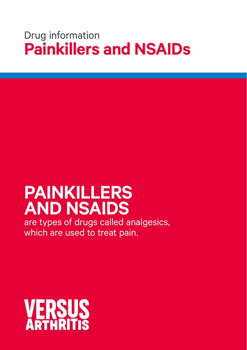# Drug information **Painkillers and NSAIDs**

# **PAINKILLERS AND NSAIDS**

are types of drugs called analgesics, which are used to treat pain.

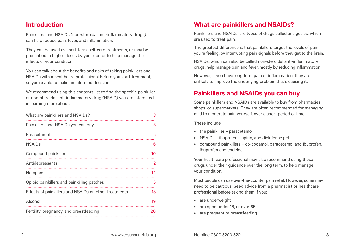### **Introduction**

Painkillers and NSAIDs (non-steroidal anti-inflammatory drugs) can help reduce pain, fever, and inflammation.

They can be used as short-term, self-care treatments, or may be prescribed in higher doses by your doctor to help manage the effects of your condition.

You can talk about the benefits and risks of taking painkillers and NSAIDs with a healthcare professional before you start treatment, so you're able to make an informed decision.

We recommend using this contents list to find the specific painkiller or non-steroidal anti-inflammatory drug (NSAID) you are interested in learning more about.

| What are painkillers and NSAIDs?                      | З                 |
|-------------------------------------------------------|-------------------|
| Painkillers and NSAIDs you can buy                    | З                 |
| Paracetamol                                           | 5                 |
| <b>NSAIDs</b>                                         | 6                 |
| Compound painkillers                                  | 10                |
| Antidepressants                                       | $12 \overline{ }$ |
| Nefopam                                               | 14                |
| Opioid painkillers and painkilling patches            | 15                |
| Effects of painkillers and NSAIDs on other treatments | 18                |
| Alcohol                                               | 19                |
| Fertility, pregnancy, and breastfeeding               | 20                |

# **What are painkillers and NSAIDs?**

Painkillers and NSAIDs, are types of drugs called analgesics, which are used to treat pain.

The greatest difference is that painkillers target the levels of pain you're feeling, by interrupting pain signals before they get to the brain.

NSAIDs, which can also be called non-steroidal anti-inflammatory drugs, help manage pain and fever, mostly by reducing inflammation.

However, if you have long term pain or inflammation, they are unlikely to improve the underlying problem that's causing it.

# **Painkillers and NSAIDs you can buy**

Some painkillers and NSAIDs are available to buy from pharmacies, shops, or supermarkets. They are often recommended for managing mild to moderate pain yourself, over a short period of time.

These include:

- the painkiller paracetamol
- NSAIDs ibuprofen, aspirin, and diclofenac gel
- compound painkillers co-codamol, paracetamol and ibuprofen, ibuprofen and codeine.

Your healthcare professional may also recommend using these drugs under their guidance over the long term, to help manage your condition.

Most people can use over-the-counter pain relief. However, some may need to be cautious. Seek advice from a pharmacist or healthcare professional before taking them if you:

- are underweight
- are aged under 16, or over 65
- are pregnant or breastfeeding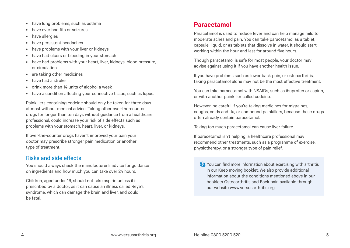- <span id="page-2-0"></span>• have lung problems, such as asthma
- have ever had fits or seizures
- have allergies
- have persistent headaches
- have problems with your liver or kidneys
- have had ulcers or bleeding in your stomach
- have had problems with your heart, liver, kidneys, blood pressure, or circulation
- are taking other medicines
- have had a stroke
- drink more than 14 units of alcohol a week
- have a condition affecting your connective tissue, such as lupus.

Painkillers containing codeine should only be taken for three days at most without medical advice. Taking other over-the-counter drugs for longer than ten days without guidance from a healthcare professional, could increase your risk of side effects such as problems with your stomach, heart, liver, or kidneys.

If over-the-counter drugs haven't improved your pain your doctor may prescribe stronger pain medication or another type of treatment.

#### Risks and side effects

You should always check the manufacturer's advice for guidance on ingredients and how much you can take over 24 hours.

Children, aged under 16, should not take aspirin unless it's prescribed by a doctor, as it can cause an illness called Reye's syndrome, which can damage the brain and liver, and could be fatal.

# **Paracetamol**

Paracetamol is used to reduce fever and can help manage mild to moderate aches and pain. You can take paracetamol as a tablet, capsule, liquid, or as tablets that dissolve in water. It should start working within the hour and last for around five hours.

Though paracetamol is safe for most people, your doctor may advise against using it if you have another health issue.

If you have problems such as lower back pain, or osteoarthritis, taking paracetamol alone may not be the most effective treatment.

You can take paracetamol with NSAIDs, such as ibuprofen or aspirin, or with another painkiller called codeine.

However, be careful if you're taking medicines for migraines, coughs, colds and flu, or compound painkillers, because these drugs often already contain paracetamol.

Taking too much paracetamol can cause liver failure.

If paracetamol isn't helping, a healthcare professional may recommend other treatments, such as a programme of exercise, physiotherapy, or a stronger type of pain relief.

You can find more information about exercising with arthritis in our Keep moving booklet. We also provide additional information about the conditions mentioned above in our booklets Osteoarthritis and Back pain available through our website [www.versusarthritis.org](http://www.versusarthritis.org)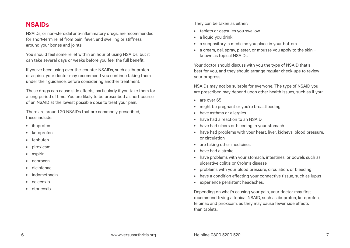# <span id="page-3-0"></span>**NSAIDs**

NSAIDs, or non-steroidal anti-inflammatory drugs, are recommended for short-term relief from pain, fever, and swelling or stiffness around your bones and joints.

You should feel some relief within an hour of using NSAIDs, but it can take several days or weeks before you feel the full benefit.

If you've been using over-the-counter NSAIDs, such as ibuprofen or aspirin, your doctor may recommend you continue taking them under their guidance, before considering another treatment.

These drugs can cause side effects, particularly if you take them for a long period of time. You are likely to be prescribed a short course of an NSAID at the lowest possible dose to treat your pain.

There are around 20 NSAIDs that are commonly prescribed, these include:

- ibuprofen
- ketoprofen
- fenbufen
- piroxicam
- aspirin
- naproxen
- diclofenac
- indomethacin
- celecoxib
- etoricoxib.

They can be taken as either:

- tablets or capsules you swallow
- a liquid you drink
- a suppository, a medicine you place in your bottom
- a cream, gel, spray, plaster, or mousse you apply to the skin known as topical NSAIDs.

Your doctor should discuss with you the type of NSAID that's best for you, and they should arrange regular check-ups to review your progress.

NSAIDs may not be suitable for everyone. The type of NSAID you are prescribed may depend upon other health issues, such as if you:

- are over 65
- might be pregnant or you're breastfeeding
- have asthma or allergies
- have had a reaction to an NSAID
- have had ulcers or bleeding in your stomach
- have had problems with your heart, liver, kidneys, blood pressure, or circulation
- are taking other medicines
- have had a stroke
- have problems with your stomach, intestines, or bowels such as ulcerative colitis or Crohn's disease
- problems with your blood pressure, circulation, or bleeding
- have a condition affecting your connective tissue, such as lupus
- experience persistent headaches.

Depending on what's causing your pain, your doctor may first recommend trying a topical NSAID, such as ibuprofen, ketoprofen, felbinac and piroxicam, as they may cause fewer side effects than tablets.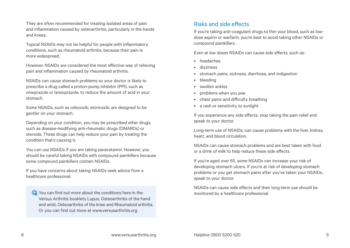They are often recommended for treating isolated areas of pain and inflammation caused by osteoarthritis, particularly in the hands and knees.

Topical NSAIDs may not be helpful for people with inflammatory conditions, such as rheumatoid arthritis, because their pain is more widespread.

However, NSAIDs are considered the most effective way of relieving pain and inflammation caused by rheumatoid arthritis.

NSAIDs can cause stomach problems so your doctor is likely to prescribe a drug called a proton-pump inhibitor (PPI), such as omeprazole or lansoprazole, to reduce the amount of acid in your stomach.

Some NSAIDs, such as celecoxib, etoricoxib, are designed to be gentler on your stomach.

Depending on your condition, you may be prescribed other drugs, such as disease-modifying anti-rheumatic drugs (DMARDs) or steroids. These drugs can help reduce your pain by treating the condition that's causing it.

You can use NSAIDs if you are taking paracetamol. However, you should be careful taking NSAIDs with compound painkillers because some compound painkillers contain NSAIDs.

If you have concerns about taking NSAIDs seek advice from a healthcare professional.

You can find out more about the conditions here in the Versus Arthritis booklets Lupus, Osteoarthritis of the hand and wrist, Osteoarthritis of the knee and Rheumatoid arthritis. Or you can find out more at [www.versusarthritis.org](http://www.versusarthritis.org)

#### Risks and side effects

If you're taking anti-coagulant drugs to thin your blood, such as lowdose aspirin or warfarin, you're best to avoid taking other NSAIDs or compound painkillers.

Even at low doses NSAIDs can cause side effects, such as:

- headaches
- dizziness
- stomach pains, sickness, diarrhoea, and indigestion
- bleeding
- swollen ankles
- problems when you pee
- chest pains and difficulty breathing
- a rash or sensitivity to sunlight.

If you experience any side effects, stop taking the pain relief and speak to your doctor.

Long-term use of NSAIDs, can cause problems with the liver, kidney, heart, and blood circulation.

NSAIDs can cause stomach problems and are best taken with food or a drink of milk to help reduce these side effects.

If you're aged over 65, some NSAIDs can increase your risk of developing stomach ulcers. If you're at risk of developing stomach problems or you get stomach pains after you've taken your NSAIDs, speak to your doctor.

NSAIDs can cause side effects and their long-term use should be monitored by a healthcare professional.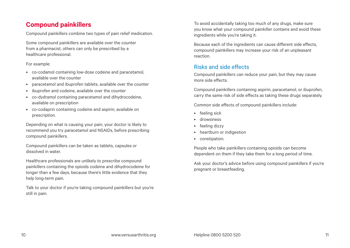# <span id="page-5-0"></span>**Compound painkillers**

Compound painkillers combine two types of pain relief medication.

Some compound painkillers are available over the counter from a pharmacist, others can only be prescribed by a healthcare professional.

#### For example:

- co-codamol containing low-dose codeine and paracetamol, available over the counter
- paracetamol and ibuprofen tablets, available over the counter
- ibuprofen and codeine, available over the counter
- co-dydramol containing paracetamol and dihydrocodeine, available on prescription
- co-codaprin containing codeine and aspirin, available on prescription.

Depending on what is causing your pain, your doctor is likely to recommend you try paracetamol and NSAIDs, before prescribing compound painkillers.

Compound painkillers can be taken as tablets, capsules or dissolved in water.

Healthcare professionals are unlikely to prescribe compound painkillers containing the opioids codeine and dihydrocodeine for longer than a few days, because there's little evidence that they help long-term pain.

Talk to your doctor if you're taking compound painkillers but you're still in pain.

To avoid accidentally taking too much of any drugs, make sure you know what your compound painkiller contains and avoid these ingredients while you're taking it.

Because each of the ingredients can cause different side effects, compound painkillers may increase your risk of an unpleasant reaction.

#### Risks and side effects

Compound painkillers can reduce your pain, but they may cause more side effects.

Compound painkillers containing aspirin, paracetamol, or ibuprofen, carry the same risk of side effects as taking these drugs separately.

Common side effects of compound painkillers include:

- feeling sick
- drowsiness
- feeling dizzy
- heartburn or indigestion
- constipation.

People who take painkillers containing opioids can become dependent on them if they take them for a long period of time.

Ask your doctor's advice before using compound painkillers if you're pregnant or breastfeeding.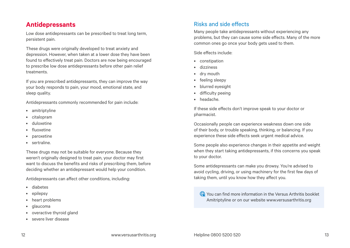### <span id="page-6-0"></span>**Antidepressants**

Low dose antidepressants can be prescribed to treat long term, persistent pain.

These drugs were originally developed to treat anxiety and depression. However, when taken at a lower dose they have been found to effectively treat pain. Doctors are now being encouraged to prescribe low dose antidepressants before other pain relief treatments.

If you are prescribed antidepressants, they can improve the way your body responds to pain, your mood, emotional state, and sleep quality.

Antidepressants commonly recommended for pain include:

- amitriptyline
- citalopram
- duloxetine
- fluoxetine
- paroxetine
- sertraline.

These drugs may not be suitable for everyone. Because they weren't originally designed to treat pain, your doctor may first want to discuss the benefits and risks of prescribing them, before deciding whether an antidepressant would help your condition.

Antidepressants can affect other conditions, including:

- diabetes
- epilepsy
- heart problems
- glaucoma
- overactive thyroid gland
- severe liver disease

### Risks and side effects

Many people take antidepressants without experiencing any problems, but they can cause some side effects. Many of the more common ones go once your body gets used to them.

Side effects include:

- constipation
- dizziness
- dry mouth
- feeling sleepy
- blurred eyesight
- difficulty peeing
- headache.

If these side effects don't improve speak to your doctor or pharmacist.

Occasionally people can experience weakness down one side of their body, or trouble speaking, thinking, or balancing. If you experience these side effects seek urgent medical advice.

Some people also experience changes in their appetite and weight when they start taking antidepressants, if this concerns you speak to your doctor.

Some antidepressants can make you drowsy. You're advised to avoid cycling, driving, or using machinery for the first few days of taking them, until you know how they affect you.

You can find more information in the Versus Arthritis booklet Amitriptyline or on our website [www.versusarthritis.org](http://www.versusarthritis.org)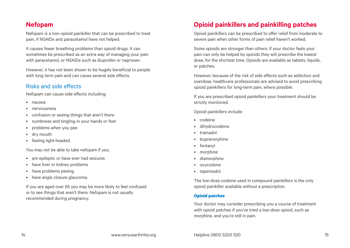# <span id="page-7-0"></span>**Nefopam**

Nefopam is a non-opioid painkiller that can be prescribed to treat pain, if NSAIDs and paracetamol have not helped.

It causes fewer breathing problems than opioid drugs. It can sometimes be prescribed as an extra way of managing your pain with paracetamol, or NSAIDs such as ibuprofen or naproxen.

However, it has not been shown to be hugely beneficial to people with long term pain and can cause several side effects.

#### Risks and side effects

Nefopam can cause side effects including:

- nausea
- nervousness
- confusion or seeing things that aren't there
- numbness and tingling in your hands or feet
- problems when you pee
- dry mouth
- feeling light-headed.

You may not be able to take nefopam if you:

- are epileptic or have ever had seizures
- have liver or kidney problems
- have problems peeing
- have angle closure glaucoma.

If you are aged over 65 you may be more likely to feel confused or to see things that aren't there. Nefopam is not usually recommended during pregnancy.

# **Opioid painkillers and painkilling patches**

Opioid painkillers can be prescribed to offer relief from moderate to severe pain when other forms of pain relief haven't worked.

Some opioids are stronger than others. If your doctor feels your pain can only be helped by opioids they will prescribe the lowest dose, for the shortest time. Opioids are available as tablets, liquids, or patches.

However, because of the risk of side effects such as addiction and overdose, healthcare professionals are advised to avoid prescribing opioid painkillers for long-term pain, where possible.

If you are prescribed opioid painkillers your treatment should be strictly monitored.

Opioid painkillers include:

- codeine
- dihydrocodeine
- tramadol
- buprenorphine
- fentanyl
- morphine
- diamorphine
- oxycodone
- tapentadol.

The low-dose codeine used in compound painkillers is the only opioid painkiller available without a prescription.

#### **Opioid patches**

Your doctor may consider prescribing you a course of treatment with opioid patches if you've tried a low-dose opioid, such as morphine, and you're still in pain.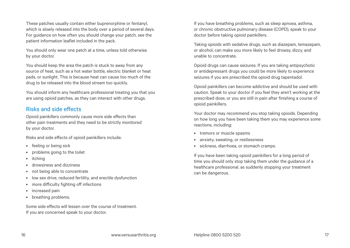These patches usually contain either buprenorphine or fentanyl, which is slowly released into the body over a period of several days. For guidance on how often you should change your patch, see the patient information leaflet included in the pack.

You should only wear one patch at a time, unless told otherwise by your doctor.

You should keep the area the patch is stuck to away from any source of heat, such as a hot water bottle, electric blanket or heat pads, or sunlight. This is because heat can cause too much of the drug to be released into the blood stream too quickly.

You should inform any healthcare professional treating you that you are using opioid patches, as they can interact with other drugs.

#### Risks and side effects

Opioid painkillers commonly cause more side effects than other pain treatments and they need to be strictly monitored by your doctor.

Risks and side effects of opioid painkillers include:

- feeling or being sick
- problems going to the toilet
- itching
- drowsiness and dizziness
- not being able to concentrate
- low sex drive, reduced fertility, and erectile dysfunction
- more difficulty fighting off infections
- increased pain
- breathing problems.

Some side effects will lessen over the course of treatment. If you are concerned speak to your doctor.

If you have breathing problems, such as sleep apnoea, asthma, or chronic obstructive pulmonary disease (COPD), speak to your doctor before taking opioid painkillers.

Taking opioids with sedative drugs, such as diazepam, temazepam, or alcohol, can make you more likely to feel drowsy, dizzy, and unable to concentrate.

Opioid drugs can cause seizures. If you are taking antipsychotic or antidepressant drugs you could be more likely to experience seizures if you are prescribed the opioid drug tapentadol.

Opioid painkillers can become addictive and should be used with caution. Speak to your doctor if you feel they aren't working at the prescribed dose, or you are still in pain after finishing a course of opioid painkillers.

Your doctor may recommend you stop taking opioids. Depending on how long you have been taking them you may experience some reactions, including:

- tremors or muscle spasms
- anxiety, sweating, or restlessness
- sickness, diarrhoea, or stomach cramps.

If you have been taking opioid painkillers for a long period of time you should only stop taking them under the guidance of a healthcare professional, as suddenly stopping your treatment can be dangerous.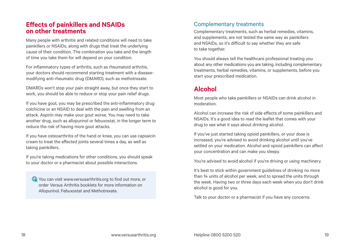#### <span id="page-9-0"></span>**Effects of painkillers and NSAIDs on other treatments**

Many people with arthritis and related conditions will need to take painkillers or NSAIDs, along with drugs that treat the underlying cause of their condition. The combination you take and the length of time you take them for will depend on your condition.

For inflammatory types of arthritis, such as rheumatoid arthritis, your doctors should recommend starting treatment with a diseasemodifying anti-rheumatic drug (DMARD), such as methotrexate.

DMARDs won't stop your pain straight away, but once they start to work, you should be able to reduce or stop your pain relief drugs.

If you have gout, you may be prescribed the anti-inflammatory drug colchicine or an NSAID to deal with the pain and swelling from an attack. Aspirin may make your gout worse. You may need to take another drug, such as allopurinol or febuxostat, in the longer term to reduce the risk of having more gout attacks.

If you have osteoarthritis of the hand or knee, you can use capsaicin cream to treat the affected joints several times a day, as well as taking painkillers.

If you're taking medications for other conditions, you should speak to your doctor or a pharmacist about possible interactions.

You can visit [www.versusarthritis.org](http://www.versusarthritis.org) to find out more, or order Versus Arthritis booklets for more information on Allopurinol, Febuxostat and Methotrexate.

#### Complementary treatments

Complementary treatments, such as herbal remedies, vitamins, and supplements, are not tested the same way as painkillers and NSAIDs, so it's difficult to say whether they are safe to take together.

You should always tell the healthcare professional treating you about any other medications you are taking, including complementary treatments, herbal remedies, vitamins, or supplements, before you start your prescribed medication.

# **Alcohol**

Most people who take painkillers or NSAIDs can drink alcohol in moderation.

Alcohol can increase the risk of side effects of some painkillers and NSAIDs. It's a good idea to read the leaflet that comes with your drug to see what it says about drinking alcohol.

If you've just started taking opioid painkillers, or your dose is increased, you're advised to avoid drinking alcohol until you've settled on your medication. Alcohol and opioid painkillers can affect your concentration and can make you sleepy.

You're advised to avoid alcohol if you're driving or using machinery.

It's best to stick within government guidelines of drinking no more than 14 units of alcohol per week, and to spread the units through the week. Having two or three days each week when you don't drink alcohol is good for you.

Talk to your doctor or a pharmacist if you have any concerns.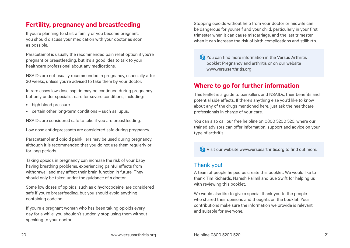# <span id="page-10-0"></span>**Fertility, pregnancy and breastfeeding**

If you're planning to start a family or you become pregnant, you should discuss your medication with your doctor as soon as possible.

Paracetamol is usually the recommended pain relief option if you're pregnant or breastfeeding, but it's a good idea to talk to your healthcare professional about any medications.

NSAIDs are not usually recommended in pregnancy, especially after 30 weeks, unless you're advised to take them by your doctor.

In rare cases low-dose aspirin may be continued during pregnancy but only under specialist care for severe conditions, including:

- high blood pressure
- certain other long-term conditions such as lupus.

NSAIDs are considered safe to take if you are breastfeeding.

Low dose antidepressants are considered safe during pregnancy.

Paracetamol and opioid painkillers may be used during pregnancy, although it is recommended that you do not use them regularly or for long periods.

Taking opioids in pregnancy can increase the risk of your baby having breathing problems, experiencing painful effects from withdrawal, and may affect their brain function in future. They should only be taken under the guidance of a doctor.

Some low doses of opioids, such as dihydrocodeine, are considered safe if you're breastfeeding, but you should avoid anything containing codeine.

If you're a pregnant woman who has been taking opioids every day for a while, you shouldn't suddenly stop using them without speaking to your doctor.

Stopping opioids without help from your doctor or midwife can be dangerous for yourself and your child, particularly in your first trimester when it can cause miscarriage, and the last trimester when it can increase the risk of birth complications and stillbirth.

You can find more information in the Versus Arthritis booklet Pregnancy and arthritis or on our website [www.versusarthritis.org](http://www.versusarthritis.org)

# **Where to go for further information**

This leaflet is a guide to painkillers and NSAIDs, their benefits and potential side effects. If there's anything else you'd like to know about any of the drugs mentioned here, just ask the healthcare professionals in charge of your care.

You can also call our free helpline on 0800 5200 520, where our trained advisors can offer information, support and advice on your type of arthritis.

Visit our website [www.versusarthritis.org](http://www.versusarthritis.org) to find out more.

#### Thank you!

A team of people helped us create this booklet. We would like to thank Tim Richards, Naresh Rallmil and Sue Swift for helping us with reviewing this booklet.

We would also like to give a special thank you to the people who shared their opinions and thoughts on the booklet. Your contributions make sure the information we provide is relevant and suitable for everyone.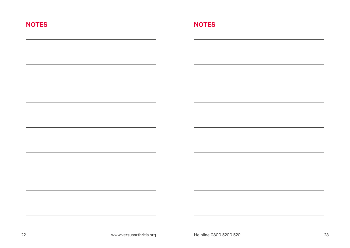| <b>NOTES</b> | <b>NOTES</b> |
|--------------|--------------|
|              |              |
|              |              |
|              |              |
|              |              |
|              |              |
|              |              |
|              |              |
|              |              |
|              |              |
|              |              |
|              |              |
|              |              |
|              |              |
|              |              |
|              |              |
|              |              |